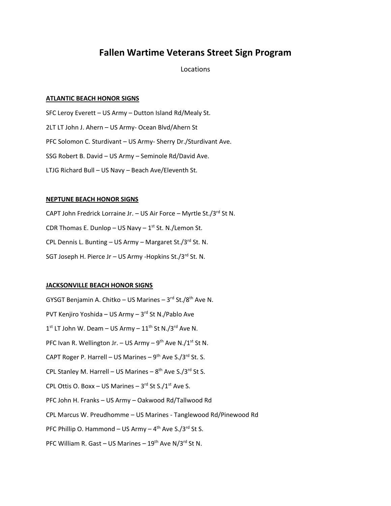# **Fallen Wartime Veterans Street Sign Program**

## Locations

## **ATLANTIC BEACH HONOR SIGNS**

SFC Leroy Everett – US Army – Dutton Island Rd/Mealy St. 2LT LT John J. Ahern – US Army- Ocean Blvd/Ahern St PFC Solomon C. Sturdivant – US Army- Sherry Dr./Sturdivant Ave. SSG Robert B. David – US Army – Seminole Rd/David Ave. LTJG Richard Bull – US Navy – Beach Ave/Eleventh St.

### **NEPTUNE BEACH HONOR SIGNS**

CAPT John Fredrick Lorraine Jr. - US Air Force - Myrtle St./3<sup>rd</sup> St N. CDR Thomas E. Dunlop – US Navy –  $1<sup>st</sup>$  St. N./Lemon St. CPL Dennis L. Bunting – US Army – Margaret St./3 $^{rd}$  St. N. SGT Joseph H. Pierce Jr - US Army - Hopkins St./3rd St. N.

### **JACKSONVILLE BEACH HONOR SIGNS**

GYSGT Benjamin A. Chitko – US Marines – 3<sup>rd</sup> St./8<sup>th</sup> Ave N. PVT Kenjiro Yoshida – US Army – 3<sup>rd</sup> St N./Pablo Ave  $1<sup>st</sup>$  LT John W. Deam – US Army –  $11<sup>th</sup>$  St N./3<sup>rd</sup> Ave N. PFC Ivan R. Wellington Jr. – US Army – 9<sup>th</sup> Ave N./1<sup>st</sup> St N. CAPT Roger P. Harrell – US Marines – 9<sup>th</sup> Ave S./3<sup>rd</sup> St. S. CPL Stanley M. Harrell - US Marines - 8<sup>th</sup> Ave S./3<sup>rd</sup> St S. CPL Ottis O. Boxx – US Marines –  $3^{rd}$  St S./ $1^{st}$  Ave S. PFC John H. Franks – US Army – Oakwood Rd/Tallwood Rd CPL Marcus W. Preudhomme – US Marines - Tanglewood Rd/Pinewood Rd PFC Phillip O. Hammond – US Army – 4<sup>th</sup> Ave S./3<sup>rd</sup> St S.

PFC William R. Gast – US Marines –  $19<sup>th</sup>$  Ave N/3<sup>rd</sup> St N.